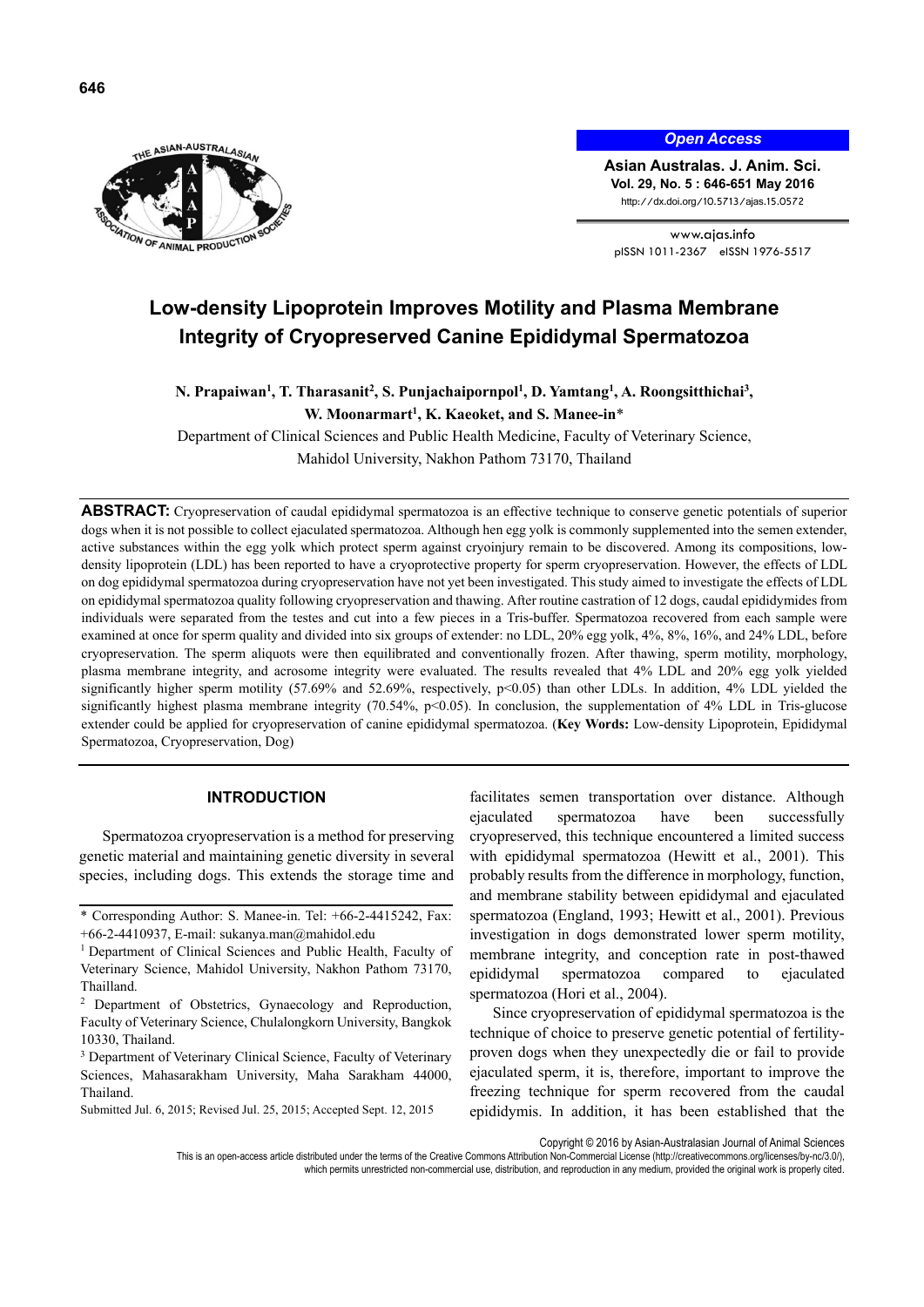

*Open Access*

**Asian Australas. J. Anim. Sci. Vol. 29, No. 5 : 646-651 May 2016**  http://dx.doi.org/10.5713/ajas.15.0572

www.ajas.info pISSN 1011-2367 eISSN 1976-5517

# **Low-density Lipoprotein Improves Motility and Plasma Membrane Integrity of Cryopreserved Canine Epididymal Spermatozoa**

# N. Prapaiwan<sup>1</sup>, T. Tharasanit<sup>2</sup>, S. Punjachaipornpol<sup>1</sup>, D. Yamtang<sup>1</sup>, A. Roongsitthichai<sup>3</sup>, W. Moonarmart<sup>1</sup>, K. Kaeoket, and S. Manee-in<sup>\*</sup>

Department of Clinical Sciences and Public Health Medicine, Faculty of Veterinary Science,

Mahidol University, Nakhon Pathom 73170, Thailand

**ABSTRACT:** Cryopreservation of caudal epididymal spermatozoa is an effective technique to conserve genetic potentials of superior dogs when it is not possible to collect ejaculated spermatozoa. Although hen egg yolk is commonly supplemented into the semen extender, active substances within the egg yolk which protect sperm against cryoinjury remain to be discovered. Among its compositions, lowdensity lipoprotein (LDL) has been reported to have a cryoprotective property for sperm cryopreservation. However, the effects of LDL on dog epididymal spermatozoa during cryopreservation have not yet been investigated. This study aimed to investigate the effects of LDL on epididymal spermatozoa quality following cryopreservation and thawing. After routine castration of 12 dogs, caudal epididymides from individuals were separated from the testes and cut into a few pieces in a Tris-buffer. Spermatozoa recovered from each sample were examined at once for sperm quality and divided into six groups of extender: no LDL, 20% egg yolk, 4%, 8%, 16%, and 24% LDL, before cryopreservation. The sperm aliquots were then equilibrated and conventionally frozen. After thawing, sperm motility, morphology, plasma membrane integrity, and acrosome integrity were evaluated. The results revealed that 4% LDL and 20% egg yolk yielded significantly higher sperm motility (57.69% and 52.69%, respectively, p<0.05) than other LDLs. In addition, 4% LDL yielded the significantly highest plasma membrane integrity (70.54%, p<0.05). In conclusion, the supplementation of 4% LDL in Tris-glucose extender could be applied for cryopreservation of canine epididymal spermatozoa. (**Key Words:** Low-density Lipoprotein, Epididymal Spermatozoa, Cryopreservation, Dog)

### **INTRODUCTION**

Spermatozoa cryopreservation is a method for preserving genetic material and maintaining genetic diversity in several species, including dogs. This extends the storage time and

Submitted Jul. 6, 2015; Revised Jul. 25, 2015; Accepted Sept. 12, 2015

facilitates semen transportation over distance. Although ejaculated spermatozoa have been successfully cryopreserved, this technique encountered a limited success with epididymal spermatozoa (Hewitt et al., 2001). This probably results from the difference in morphology, function, and membrane stability between epididymal and ejaculated spermatozoa (England, 1993; Hewitt et al., 2001). Previous investigation in dogs demonstrated lower sperm motility, membrane integrity, and conception rate in post-thawed epididymal spermatozoa compared to ejaculated spermatozoa (Hori et al., 2004).

Since cryopreservation of epididymal spermatozoa is the technique of choice to preserve genetic potential of fertilityproven dogs when they unexpectedly die or fail to provide ejaculated sperm, it is, therefore, important to improve the freezing technique for sperm recovered from the caudal epididymis. In addition, it has been established that the

Copyright © 2016 by Asian-Australasian Journal of Animal Sciences

<sup>\*</sup> Corresponding Author: S. Manee-in. Tel: +66-2-4415242, Fax: +66-2-4410937, E-mail: sukanya.man@mahidol.edu 1 Department of Clinical Sciences and Public Health, Faculty of

Veterinary Science, Mahidol University, Nakhon Pathom 73170, Thailland.

<sup>2</sup> Department of Obstetrics, Gynaecology and Reproduction, Faculty of Veterinary Science, Chulalongkorn University, Bangkok 10330, Thailand.

<sup>3</sup> Department of Veterinary Clinical Science, Faculty of Veterinary Sciences, Mahasarakham University, Maha Sarakham 44000, Thailand.

This is an open-access article distributed under the terms of the Creative Commons Attribution Non-Commercial License (http://creativecommons.org/licenses/by-nc/3.0/) which permits unrestricted non-commercial use, distribution, and reproduction in any medium, provided the original work is properly cited.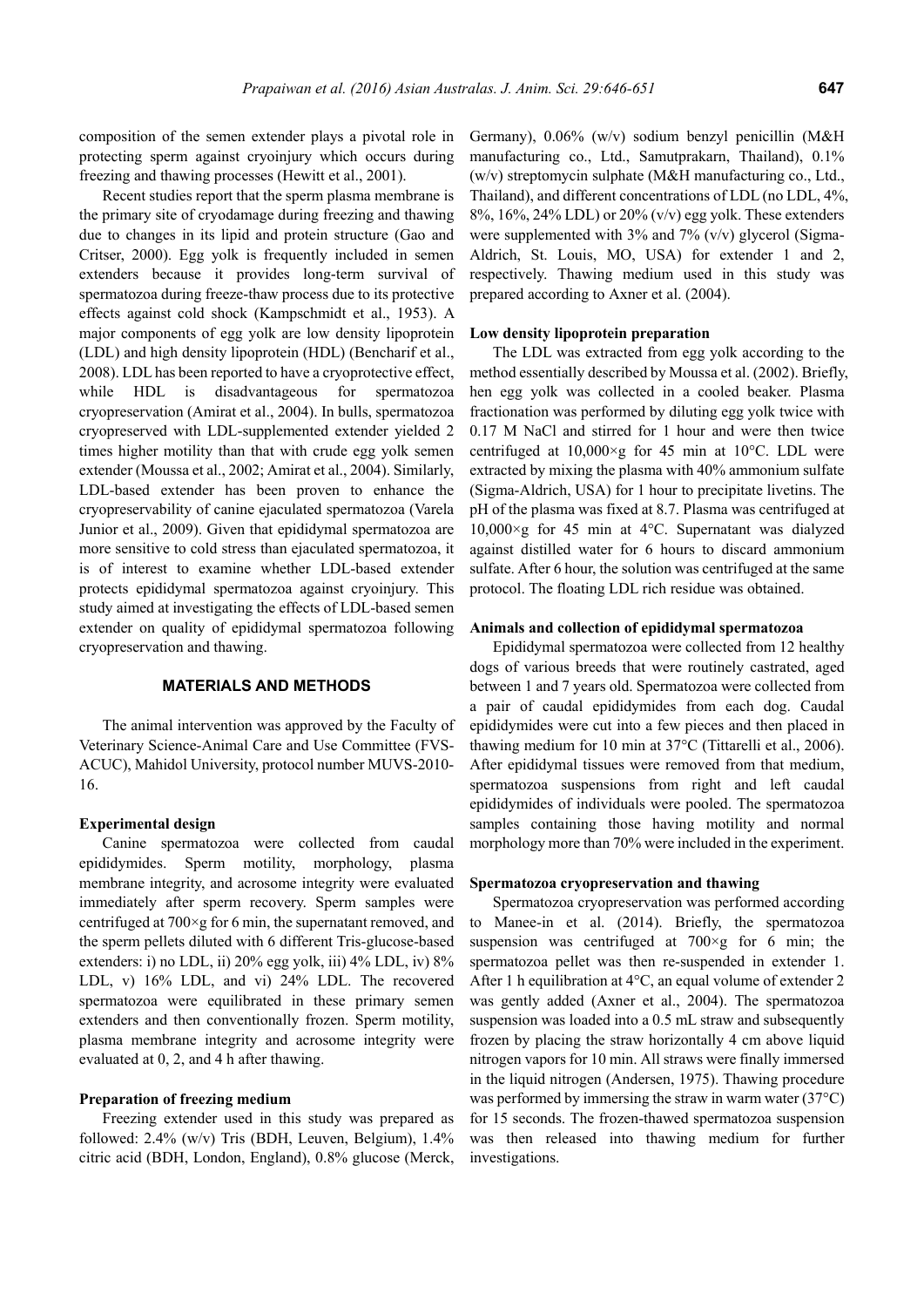composition of the semen extender plays a pivotal role in protecting sperm against cryoinjury which occurs during freezing and thawing processes (Hewitt et al., 2001).

Recent studies report that the sperm plasma membrane is the primary site of cryodamage during freezing and thawing due to changes in its lipid and protein structure (Gao and Critser, 2000). Egg yolk is frequently included in semen extenders because it provides long-term survival of spermatozoa during freeze-thaw process due to its protective effects against cold shock (Kampschmidt et al., 1953). A major components of egg yolk are low density lipoprotein (LDL) and high density lipoprotein (HDL) (Bencharif et al., 2008). LDL has been reported to have a cryoprotective effect, while HDL is disadvantageous for spermatozoa cryopreservation (Amirat et al., 2004). In bulls, spermatozoa cryopreserved with LDL-supplemented extender yielded 2 times higher motility than that with crude egg yolk semen extender (Moussa et al., 2002; Amirat et al., 2004). Similarly, LDL-based extender has been proven to enhance the cryopreservability of canine ejaculated spermatozoa (Varela Junior et al., 2009). Given that epididymal spermatozoa are more sensitive to cold stress than ejaculated spermatozoa, it is of interest to examine whether LDL-based extender protects epididymal spermatozoa against cryoinjury. This study aimed at investigating the effects of LDL-based semen extender on quality of epididymal spermatozoa following cryopreservation and thawing.

### **MATERIALS AND METHODS**

The animal intervention was approved by the Faculty of Veterinary Science-Animal Care and Use Committee (FVS-ACUC), Mahidol University, protocol number MUVS-2010- 16.

# **Experimental design**

Canine spermatozoa were collected from caudal epididymides. Sperm motility, morphology, plasma membrane integrity, and acrosome integrity were evaluated immediately after sperm recovery. Sperm samples were centrifuged at 700×g for 6 min, the supernatant removed, and the sperm pellets diluted with 6 different Tris-glucose-based extenders: i) no LDL, ii) 20% egg yolk, iii) 4% LDL, iv) 8% LDL, v) 16% LDL, and vi) 24% LDL. The recovered spermatozoa were equilibrated in these primary semen extenders and then conventionally frozen. Sperm motility, plasma membrane integrity and acrosome integrity were evaluated at 0, 2, and 4 h after thawing.

## **Preparation of freezing medium**

Freezing extender used in this study was prepared as followed:  $2.4\%$  (w/v) Tris (BDH, Leuven, Belgium),  $1.4\%$ citric acid (BDH, London, England), 0.8% glucose (Merck, Germany), 0.06% (w/v) sodium benzyl penicillin (M&H manufacturing co., Ltd., Samutprakarn, Thailand), 0.1% (w/v) streptomycin sulphate (M&H manufacturing co., Ltd., Thailand), and different concentrations of LDL (no LDL, 4%, 8%,  $16\%$ ,  $24\%$  LDL) or  $20\%$  (v/v) egg yolk. These extenders were supplemented with  $3\%$  and  $7\%$  (v/v) glycerol (Sigma-Aldrich, St. Louis, MO, USA) for extender 1 and 2, respectively. Thawing medium used in this study was prepared according to Axner et al. (2004).

# **Low density lipoprotein preparation**

The LDL was extracted from egg yolk according to the method essentially described by Moussa et al. (2002). Briefly, hen egg yolk was collected in a cooled beaker. Plasma fractionation was performed by diluting egg yolk twice with 0.17 M NaCl and stirred for 1 hour and were then twice centrifuged at  $10,000 \times g$  for 45 min at 10°C. LDL were extracted by mixing the plasma with 40% ammonium sulfate (Sigma-Aldrich, USA) for 1 hour to precipitate livetins. The pH of the plasma was fixed at 8.7. Plasma was centrifuged at 10,000×g for 45 min at 4°C. Supernatant was dialyzed against distilled water for 6 hours to discard ammonium sulfate. After 6 hour, the solution was centrifuged at the same protocol. The floating LDL rich residue was obtained.

## **Animals and collection of epididymal spermatozoa**

Epididymal spermatozoa were collected from 12 healthy dogs of various breeds that were routinely castrated, aged between 1 and 7 years old. Spermatozoa were collected from a pair of caudal epididymides from each dog. Caudal epididymides were cut into a few pieces and then placed in thawing medium for 10 min at 37°C (Tittarelli et al., 2006). After epididymal tissues were removed from that medium, spermatozoa suspensions from right and left caudal epididymides of individuals were pooled. The spermatozoa samples containing those having motility and normal morphology more than 70% were included in the experiment.

#### **Spermatozoa cryopreservation and thawing**

Spermatozoa cryopreservation was performed according to Manee-in et al. (2014). Briefly, the spermatozoa suspension was centrifuged at  $700 \times g$  for 6 min; the spermatozoa pellet was then re-suspended in extender 1. After 1 h equilibration at  $4^{\circ}$ C, an equal volume of extender 2 was gently added (Axner et al., 2004). The spermatozoa suspension was loaded into a 0.5 mL straw and subsequently frozen by placing the straw horizontally 4 cm above liquid nitrogen vapors for 10 min. All straws were finally immersed in the liquid nitrogen (Andersen, 1975). Thawing procedure was performed by immersing the straw in warm water (37°C) for 15 seconds. The frozen-thawed spermatozoa suspension was then released into thawing medium for further investigations.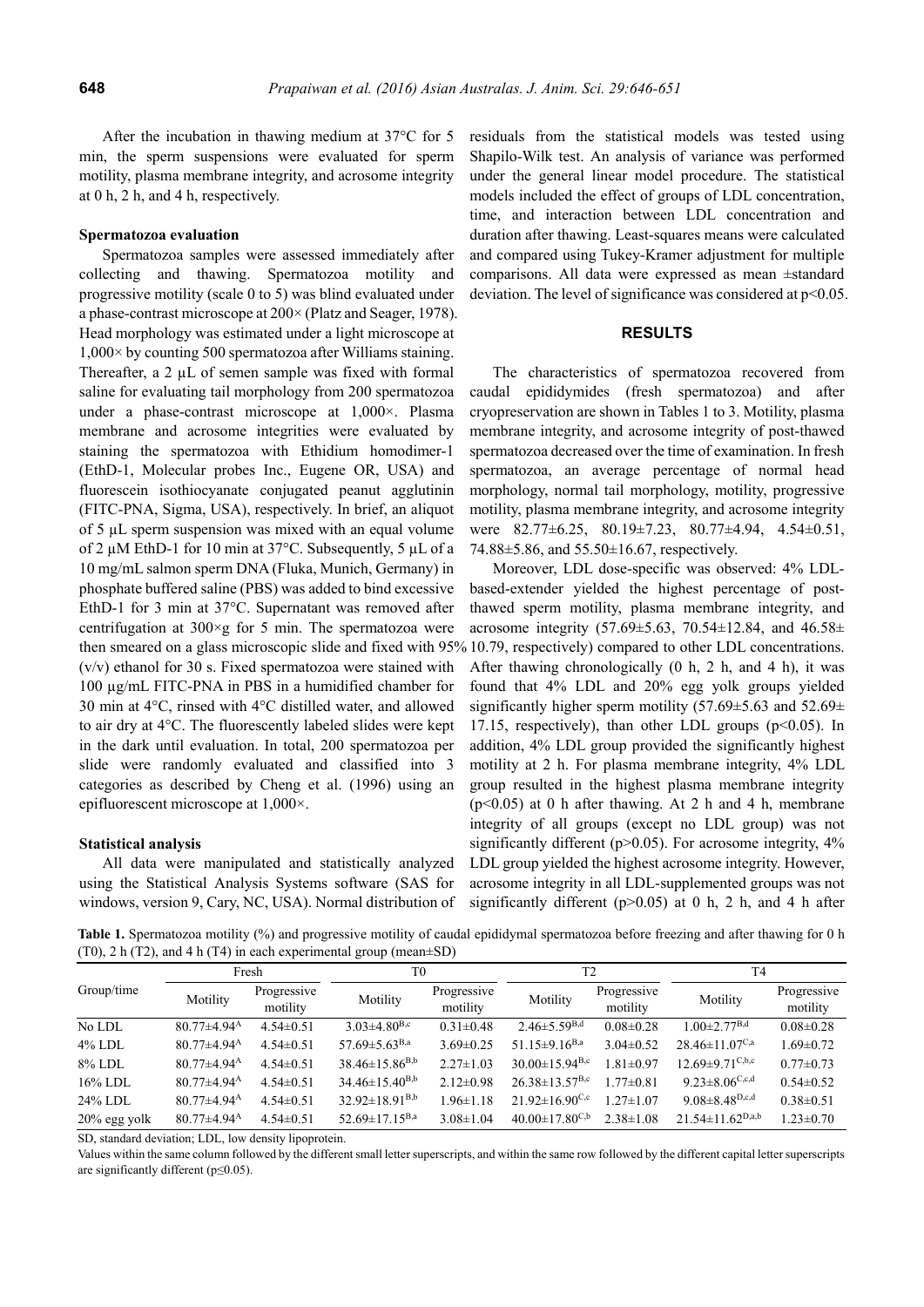After the incubation in thawing medium at 37°C for 5 min, the sperm suspensions were evaluated for sperm motility, plasma membrane integrity, and acrosome integrity at 0 h, 2 h, and 4 h, respectively.

### **Spermatozoa evaluation**

Spermatozoa samples were assessed immediately after collecting and thawing. Spermatozoa motility and progressive motility (scale 0 to 5) was blind evaluated under a phase-contrast microscope at 200× (Platz and Seager, 1978). Head morphology was estimated under a light microscope at 1,000× by counting 500 spermatozoa after Williams staining. Thereafter, a 2  $\mu$ L of semen sample was fixed with formal saline for evaluating tail morphology from 200 spermatozoa under a phase-contrast microscope at 1,000×. Plasma membrane and acrosome integrities were evaluated by staining the spermatozoa with Ethidium homodimer-1 (EthD-1, Molecular probes Inc., Eugene OR, USA) and fluorescein isothiocyanate conjugated peanut agglutinin (FITC-PNA, Sigma, USA), respectively. In brief, an aliquot of 5 µL sperm suspension was mixed with an equal volume of 2 µM EthD-1 for 10 min at 37°C. Subsequently, 5 µL of a 10 mg/mL salmon sperm DNA (Fluka, Munich, Germany) in phosphate buffered saline (PBS) was added to bind excessive EthD-1 for 3 min at 37°C. Supernatant was removed after centrifugation at  $300 \times g$  for 5 min. The spermatozoa were (v/v) ethanol for 30 s. Fixed spermatozoa were stained with 100 µg/mL FITC-PNA in PBS in a humidified chamber for 30 min at 4°C, rinsed with 4°C distilled water, and allowed to air dry at 4°C. The fluorescently labeled slides were kept in the dark until evaluation. In total, 200 spermatozoa per slide were randomly evaluated and classified into 3 categories as described by Cheng et al. (1996) using an epifluorescent microscope at 1,000×.

#### **Statistical analysis**

All data were manipulated and statistically analyzed using the Statistical Analysis Systems software (SAS for windows, version 9, Cary, NC, USA). Normal distribution of residuals from the statistical models was tested using Shapilo-Wilk test. An analysis of variance was performed under the general linear model procedure. The statistical models included the effect of groups of LDL concentration, time, and interaction between LDL concentration and duration after thawing. Least-squares means were calculated and compared using Tukey-Kramer adjustment for multiple comparisons. All data were expressed as mean ±standard deviation. The level of significance was considered at  $p<0.05$ .

# **RESULTS**

The characteristics of spermatozoa recovered from caudal epididymides (fresh spermatozoa) and after cryopreservation are shown in Tables 1 to 3. Motility, plasma membrane integrity, and acrosome integrity of post-thawed spermatozoa decreased over the time of examination. In fresh spermatozoa, an average percentage of normal head morphology, normal tail morphology, motility, progressive motility, plasma membrane integrity, and acrosome integrity were 82.77±6.25, 80.19±7.23, 80.77±4.94, 4.54±0.51, 74.88±5.86, and 55.50±16.67, respectively.

then smeared on a glass microscopic slide and fixed with 95% 10.79, respectively) compared to other LDL concentrations. Moreover, LDL dose-specific was observed: 4% LDLbased-extender yielded the highest percentage of postthawed sperm motility, plasma membrane integrity, and acrosome integrity (57.69 $\pm$ 5.63, 70.54 $\pm$ 12.84, and 46.58 $\pm$ After thawing chronologically (0 h, 2 h, and 4 h), it was found that 4% LDL and 20% egg yolk groups yielded significantly higher sperm motility  $(57.69 \pm 5.63$  and  $52.69 \pm 1.69$ 17.15, respectively), than other LDL groups  $(p<0.05)$ . In addition, 4% LDL group provided the significantly highest motility at 2 h. For plasma membrane integrity, 4% LDL group resulted in the highest plasma membrane integrity (p<0.05) at 0 h after thawing. At 2 h and 4 h, membrane integrity of all groups (except no LDL group) was not significantly different (p>0.05). For acrosome integrity, 4% LDL group yielded the highest acrosome integrity. However, acrosome integrity in all LDL-supplemented groups was not significantly different ( $p>0.05$ ) at 0 h, 2 h, and 4 h after

**Table 1.** Spermatozoa motility (%) and progressive motility of caudal epididymal spermatozoa before freezing and after thawing for 0 h  $(T0)$ , 2 h  $(T2)$ , and 4 h  $(T4)$  in each experimental group (mean $\pm SD$ )

|                 | Fresh                         |                         | T0                               |                         | T <sub>2</sub>                   |                         | T <sub>4</sub>                   |                         |
|-----------------|-------------------------------|-------------------------|----------------------------------|-------------------------|----------------------------------|-------------------------|----------------------------------|-------------------------|
| Group/time      | Motility                      | Progressive<br>motility | Motility                         | Progressive<br>motility | Motility                         | Progressive<br>motility | Motility                         | Progressive<br>motility |
| No LDL          | $80.77 \pm 4.94$ <sup>A</sup> | $4.54\pm0.51$           | $3.03\pm4.80^{B,c}$              | $0.31 \pm 0.48$         | $2.46\pm5.59^{B,d}$              | $0.08 \pm 0.28$         | $1.00 \pm 2.77$ <sup>B,d</sup>   | $0.08 \pm 0.28$         |
| 4% LDL          | $80.77 \pm 4.94$ <sup>A</sup> | $4.54\pm0.51$           | 57.69 $\pm$ 5.63 <sup>B,a</sup>  | $3.69\pm0.25$           | 51.15 $\pm$ 9.16 <sup>B,a</sup>  | $3.04\pm0.52$           | $28.46 \pm 11.07^{c,a}$          | $1.69 \pm 0.72$         |
| 8% LDL          | $80.77 \pm 4.94$ <sup>A</sup> | $4.54\pm0.51$           | $38.46\pm15.86^{B,b}$            | $2.27 \pm 1.03$         | $30.00 \pm 15.94$ <sup>B,c</sup> | $1.81 \pm 0.97$         | $12.69 \pm 9.71^{\text{C},b,c}$  | $0.77 \pm 0.73$         |
| 16% LDL         | $80.77 \pm 4.94$ <sup>A</sup> | $4.54\pm0.51$           | $34.46\pm15.40^{B,b}$            | $2.12\pm0.98$           | $26.38 \pm 13.57$ <sup>B,c</sup> | $1.77 \pm 0.81$         | 9.23 $\pm$ 8.06 <sup>C,c,d</sup> | $0.54\pm 0.52$          |
| 24% LDL         | $80.77 \pm 4.94$ <sup>A</sup> | $4.54\pm0.51$           | $32.92 \pm 18.91^{B,b}$          | $1.96 \pm 1.18$         | $21.92 \pm 16.90$ <sup>C,c</sup> | $1.27 \pm 1.07$         | 9.08 $\pm$ 8.48 <sup>D,c,d</sup> | $0.38 \pm 0.51$         |
| $20\%$ egg yolk | $80.77 \pm 4.94$ <sup>A</sup> | $4.54\pm0.51$           | 52.69 $\pm$ 17.15 <sup>B,a</sup> | $3.08 \pm 1.04$         | 40.00 $\pm$ 17.80 <sup>C,b</sup> | $2.38 \pm 1.08$         | $21.54 \pm 11.62^{D,a,b}$        | $1.23 \pm 0.70$         |

SD, standard deviation; LDL, low density lipoprotein.

Values within the same column followed by the different small letter superscripts, and within the same row followed by the different capital letter superscripts are significantly different ( $p \le 0.05$ ).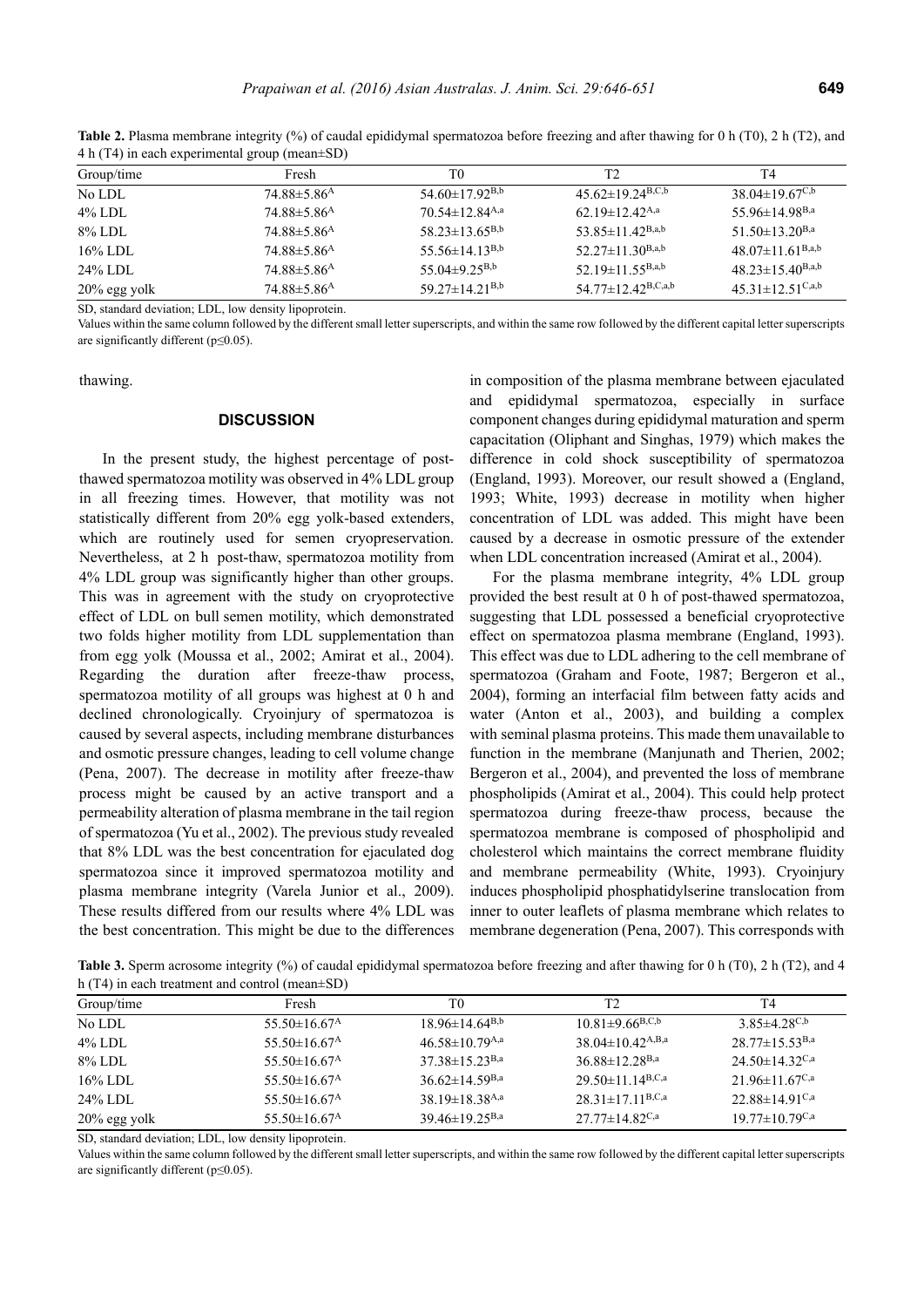| Group/time      | Fresh                   | T0                               | T2                                   | T4                                 |
|-----------------|-------------------------|----------------------------------|--------------------------------------|------------------------------------|
| No LDL          | $74.88\pm5.86^{\rm A}$  | 54.60 $\pm$ 17.92 <sup>B,b</sup> | 45.62 $\pm$ 19.24 <sup>B,C,b</sup>   | $38.04 \pm 19.67^{C,b}$            |
| $4\%$ LDL       | $74.88\pm5.86^{\rm A}$  | 70.54 $\pm$ 12.84 <sup>A,a</sup> | 62.19 $\pm$ 12.42 <sup>A,a</sup>     | 55.96 $\pm$ 14.98 <sup>B,a</sup>   |
| 8% LDL          | $74.88\pm5.86^{\rm A}$  | $58.23 \pm 13.65^{B,b}$          | $53.85 \pm 11.42^{\text{B},a,b}$     | 51 50 $\pm$ 13 20 <sup>B,a</sup>   |
| $16\%$ LDL      | $74.88\pm5.86^{\rm A}$  | 55.56 $\pm$ 14.13 <sup>B,b</sup> | 52.27 $\pm$ 11.30 <sup>B,a,b</sup>   | 48.07 $\pm$ 11.61 <sup>B,a,b</sup> |
| 24% LDL         | $74.88\pm5.86^{\rm A}$  | 55.04 $\pm$ 9.25 <sup>B,b</sup>  | $52.19 \pm 11.55^{B,a,b}$            | $48.23 \pm 15.40^{B,a,b}$          |
| $20\%$ egg yolk | 74.88±5.86 <sup>A</sup> | 59 27 $\pm$ 14 21 <sup>B,b</sup> | 54.77 $\pm$ 12.42 <sup>B,C,a,b</sup> | $45.31 \pm 12.51^{C,a,b}$          |

**Table 2.** Plasma membrane integrity (%) of caudal epididymal spermatozoa before freezing and after thawing for 0 h (T0), 2 h (T2), and 4 h (T4) in each experimental group (mean±SD)

SD, standard deviation; LDL, low density lipoprotein.

Values within the same column followed by the different small letter superscripts, and within the same row followed by the different capital letter superscripts are significantly different (p≤0.05).

thawing.

# **DISCUSSION**

In the present study, the highest percentage of postthawed spermatozoa motility was observed in 4% LDL group in all freezing times. However, that motility was not statistically different from 20% egg yolk-based extenders, which are routinely used for semen cryopreservation. Nevertheless, at 2 h post-thaw, spermatozoa motility from 4% LDL group was significantly higher than other groups. This was in agreement with the study on cryoprotective effect of LDL on bull semen motility, which demonstrated two folds higher motility from LDL supplementation than from egg yolk (Moussa et al., 2002; Amirat et al., 2004). Regarding the duration after freeze-thaw process, spermatozoa motility of all groups was highest at 0 h and declined chronologically. Cryoinjury of spermatozoa is caused by several aspects, including membrane disturbances and osmotic pressure changes, leading to cell volume change (Pena, 2007). The decrease in motility after freeze-thaw process might be caused by an active transport and a permeability alteration of plasma membrane in the tail region of spermatozoa (Yu et al., 2002). The previous study revealed that 8% LDL was the best concentration for ejaculated dog spermatozoa since it improved spermatozoa motility and plasma membrane integrity (Varela Junior et al., 2009). These results differed from our results where 4% LDL was the best concentration. This might be due to the differences in composition of the plasma membrane between ejaculated and epididymal spermatozoa, especially in surface component changes during epididymal maturation and sperm capacitation (Oliphant and Singhas, 1979) which makes the difference in cold shock susceptibility of spermatozoa (England, 1993). Moreover, our result showed a (England, 1993; White, 1993) decrease in motility when higher concentration of LDL was added. This might have been caused by a decrease in osmotic pressure of the extender when LDL concentration increased (Amirat et al., 2004).

For the plasma membrane integrity, 4% LDL group provided the best result at 0 h of post-thawed spermatozoa, suggesting that LDL possessed a beneficial cryoprotective effect on spermatozoa plasma membrane (England, 1993). This effect was due to LDL adhering to the cell membrane of spermatozoa (Graham and Foote, 1987; Bergeron et al., 2004), forming an interfacial film between fatty acids and water (Anton et al., 2003), and building a complex with seminal plasma proteins. This made them unavailable to function in the membrane (Manjunath and Therien, 2002; Bergeron et al., 2004), and prevented the loss of membrane phospholipids (Amirat et al., 2004). This could help protect spermatozoa during freeze-thaw process, because the spermatozoa membrane is composed of phospholipid and cholesterol which maintains the correct membrane fluidity and membrane permeability (White, 1993). Cryoinjury induces phospholipid phosphatidylserine translocation from inner to outer leaflets of plasma membrane which relates to membrane degeneration (Pena, 2007). This corresponds with

**Table 3.** Sperm acrosome integrity (%) of caudal epididymal spermatozoa before freezing and after thawing for 0 h (T0), 2 h (T2), and 4 h (T4) in each treatment and control (mean±SD)

| T0<br>T2<br>Fresh<br>Group/time                                                                                        | T4                               |
|------------------------------------------------------------------------------------------------------------------------|----------------------------------|
|                                                                                                                        |                                  |
| $10.81\pm9.66^{B,C,b}$<br>$18.96 \pm 14.64^{B,b}$<br>No LDL<br>$55.50 \pm 16.67$ <sup>A</sup>                          | 3 85 $\pm$ 4 28 <sup>C,b</sup>   |
| $38.04 \pm 10.42$ <sup>A,B,a</sup><br>$46.58 \pm 10.79$ <sup>A,a</sup><br>$55.50\pm16.67^{\rm A}$<br>$4\%$ LDL         | $28.77 \pm 15.53^{B,a}$          |
| 36.88 $\pm$ 12.28 <sup>B,a</sup><br>$37.38 \pm 15.23$ <sup>B,a</sup><br>$55.50\pm16.67^{\rm A}$<br>8% LDL              | 24 50 $\pm$ 14 32 <sup>C,a</sup> |
| 29 50 $\pm$ 11 14 <sup>B,C,a</sup><br>$36.62 \pm 14.59$ <sup>B,a</sup><br>$55.50\pm16.67^{\rm A}$<br>$16\%$ LDL        | 21.96 $\pm$ 11.67 <sup>C,a</sup> |
| $28.31 \pm 17.11^{B,C,a}$<br>$38.19 \pm 18.38$ <sup>A,a</sup><br>$55.50\pm16.67^{\rm A}$<br>$24\%$ LDL                 | $22.88 \pm 14.91$ <sup>C,a</sup> |
| 39 46 $\pm$ 19 25 <sup>B,a</sup><br>$27.77 \pm 14.82$ <sup>C,a</sup><br>55 50 $\pm$ 16 67 <sup>A</sup><br>20% egg yolk | 19 77 $\pm$ 10 79 <sup>C,a</sup> |

SD, standard deviation; LDL, low density lipoprotein.

Values within the same column followed by the different small letter superscripts, and within the same row followed by the different capital letter superscripts are significantly different ( $p \le 0.05$ ).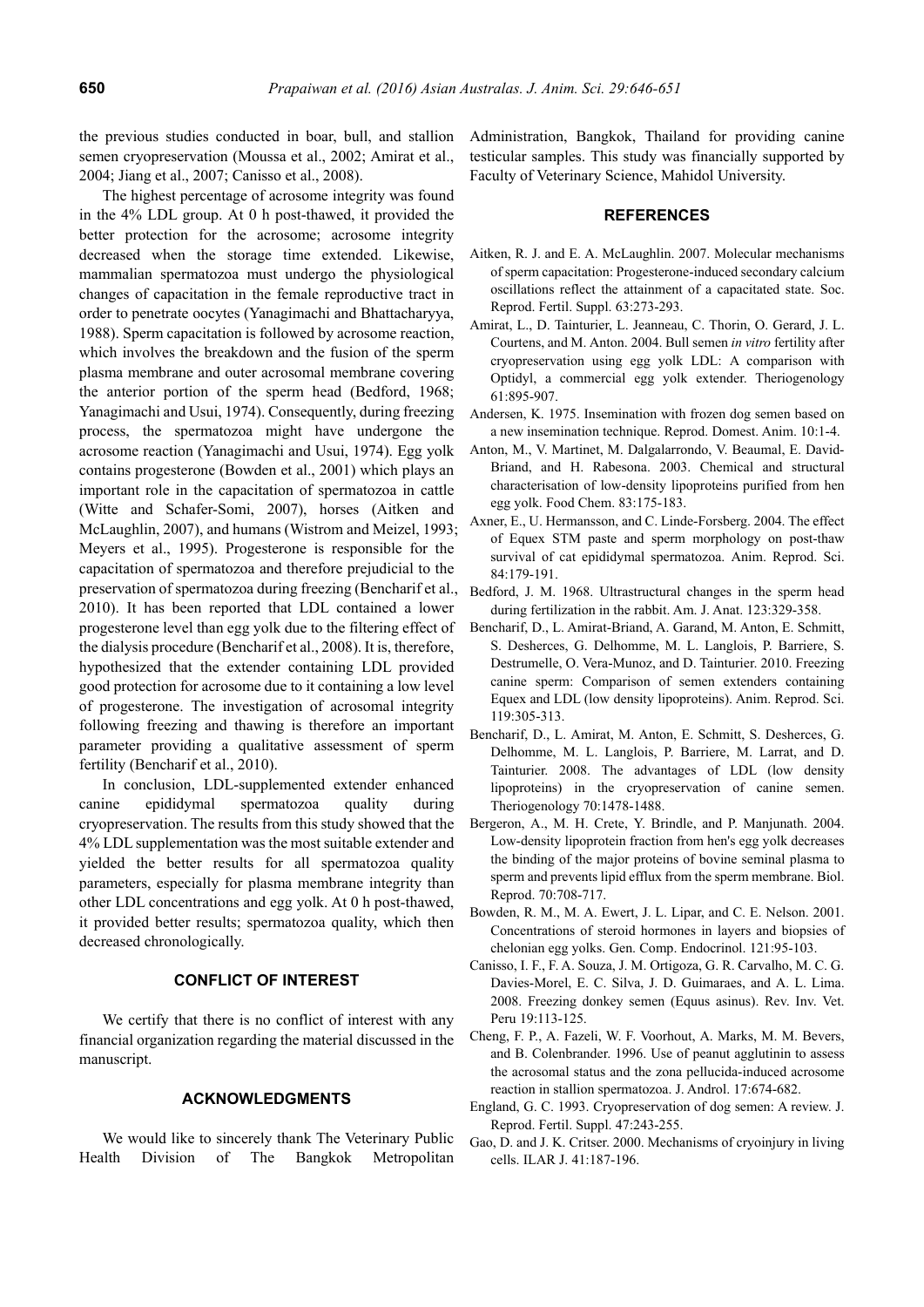the previous studies conducted in boar, bull, and stallion semen cryopreservation (Moussa et al., 2002; Amirat et al., 2004; Jiang et al., 2007; Canisso et al., 2008).

The highest percentage of acrosome integrity was found in the 4% LDL group. At 0 h post-thawed, it provided the better protection for the acrosome; acrosome integrity decreased when the storage time extended. Likewise, mammalian spermatozoa must undergo the physiological changes of capacitation in the female reproductive tract in order to penetrate oocytes (Yanagimachi and Bhattacharyya, 1988). Sperm capacitation is followed by acrosome reaction, which involves the breakdown and the fusion of the sperm plasma membrane and outer acrosomal membrane covering the anterior portion of the sperm head (Bedford, 1968; Yanagimachi and Usui, 1974). Consequently, during freezing process, the spermatozoa might have undergone the acrosome reaction (Yanagimachi and Usui, 1974). Egg yolk contains progesterone (Bowden et al., 2001) which plays an important role in the capacitation of spermatozoa in cattle (Witte and Schafer-Somi, 2007), horses (Aitken and McLaughlin, 2007), and humans (Wistrom and Meizel, 1993; Meyers et al., 1995). Progesterone is responsible for the capacitation of spermatozoa and therefore prejudicial to the preservation of spermatozoa during freezing (Bencharif et al., 2010). It has been reported that LDL contained a lower progesterone level than egg yolk due to the filtering effect of the dialysis procedure (Bencharif et al., 2008). It is, therefore, hypothesized that the extender containing LDL provided good protection for acrosome due to it containing a low level of progesterone. The investigation of acrosomal integrity following freezing and thawing is therefore an important parameter providing a qualitative assessment of sperm fertility (Bencharif et al., 2010).

In conclusion, LDL-supplemented extender enhanced canine epididymal spermatozoa quality during cryopreservation. The results from this study showed that the 4% LDL supplementation was the most suitable extender and yielded the better results for all spermatozoa quality parameters, especially for plasma membrane integrity than other LDL concentrations and egg yolk. At 0 h post-thawed, it provided better results; spermatozoa quality, which then decreased chronologically.

# **CONFLICT OF INTEREST**

We certify that there is no conflict of interest with any financial organization regarding the material discussed in the manuscript.

# **ACKNOWLEDGMENTS**

We would like to sincerely thank The Veterinary Public Health Division of The Bangkok Metropolitan

Administration, Bangkok, Thailand for providing canine testicular samples. This study was financially supported by Faculty of Veterinary Science, Mahidol University.

# **REFERENCES**

- Aitken, R. J. and E. A. McLaughlin. 2007. Molecular mechanisms of sperm capacitation: Progesterone-induced secondary calcium oscillations reflect the attainment of a capacitated state. Soc. Reprod. Fertil. Suppl. 63:273-293.
- Amirat, L., D. Tainturier, L. Jeanneau, C. Thorin, O. Gerard, J. L. Courtens, and M. Anton. 2004. Bull semen *in vitro* fertility after cryopreservation using egg yolk LDL: A comparison with Optidyl, a commercial egg yolk extender. Theriogenology 61:895-907.
- Andersen, K. 1975. Insemination with frozen dog semen based on a new insemination technique. Reprod. Domest. Anim. 10:1-4.
- Anton, M., V. Martinet, M. Dalgalarrondo, V. Beaumal, E. David-Briand, and H. Rabesona. 2003. Chemical and structural characterisation of low-density lipoproteins purified from hen egg yolk. Food Chem. 83:175-183.
- Axner, E., U. Hermansson, and C. Linde-Forsberg. 2004. The effect of Equex STM paste and sperm morphology on post-thaw survival of cat epididymal spermatozoa. Anim. Reprod. Sci. 84:179-191.
- Bedford, J. M. 1968. Ultrastructural changes in the sperm head during fertilization in the rabbit. Am. J. Anat. 123:329-358.
- Bencharif, D., L. Amirat-Briand, A. Garand, M. Anton, E. Schmitt, S. Desherces, G. Delhomme, M. L. Langlois, P. Barriere, S. Destrumelle, O. Vera-Munoz, and D. Tainturier. 2010. Freezing canine sperm: Comparison of semen extenders containing Equex and LDL (low density lipoproteins). Anim. Reprod. Sci. 119:305-313.
- Bencharif, D., L. Amirat, M. Anton, E. Schmitt, S. Desherces, G. Delhomme, M. L. Langlois, P. Barriere, M. Larrat, and D. Tainturier. 2008. The advantages of LDL (low density lipoproteins) in the cryopreservation of canine semen. Theriogenology 70:1478-1488.
- Bergeron, A., M. H. Crete, Y. Brindle, and P. Manjunath. 2004. Low-density lipoprotein fraction from hen's egg yolk decreases the binding of the major proteins of bovine seminal plasma to sperm and prevents lipid efflux from the sperm membrane. Biol. Reprod. 70:708-717.
- Bowden, R. M., M. A. Ewert, J. L. Lipar, and C. E. Nelson. 2001. Concentrations of steroid hormones in layers and biopsies of chelonian egg yolks. Gen. Comp. Endocrinol. 121:95-103.
- Canisso, I. F., F. A. Souza, J. M. Ortigoza, G. R. Carvalho, M. C. G. Davies-Morel, E. C. Silva, J. D. Guimaraes, and A. L. Lima. 2008. Freezing donkey semen (Equus asinus). Rev. Inv. Vet. Peru 19:113-125.
- Cheng, F. P., A. Fazeli, W. F. Voorhout, A. Marks, M. M. Bevers, and B. Colenbrander. 1996. Use of peanut agglutinin to assess the acrosomal status and the zona pellucida-induced acrosome reaction in stallion spermatozoa. J. Androl. 17:674-682.
- England, G. C. 1993. Cryopreservation of dog semen: A review. J. Reprod. Fertil. Suppl. 47:243-255.
- Gao, D. and J. K. Critser. 2000. Mechanisms of cryoinjury in living cells. ILAR J. 41:187-196.